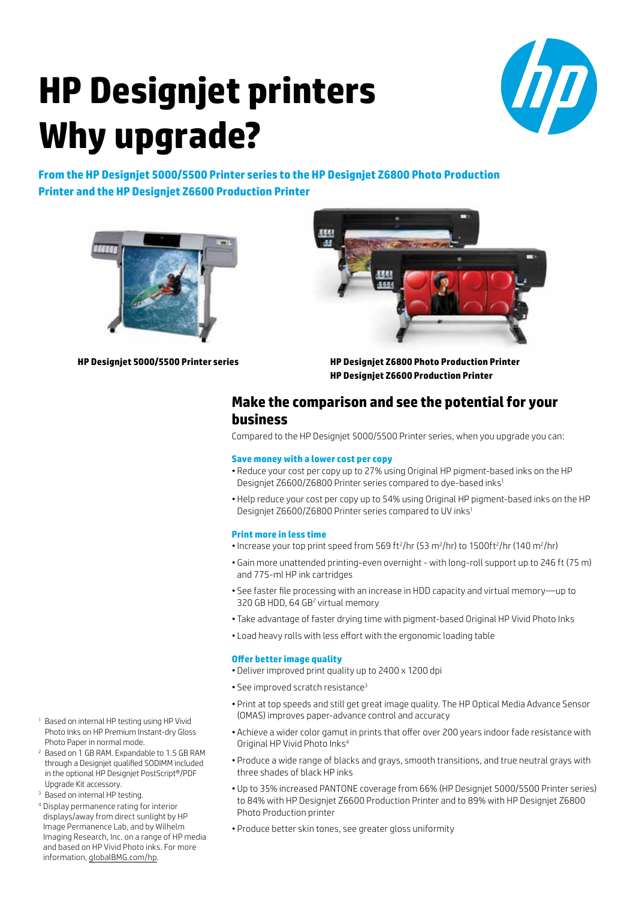# **HP Designjet printers Why upgrade?**



**From the HP Designjet 5000/5500 Printer series to the HP Designjet Z6800 Photo Production Printer and the HP Designjet Z6600 Production Printer**





**HP Designjet 5000/5500 Printer series**

**HP Designjet Z6800 Photo Production Printer HP Designjet Z6600 Production Printer**

### **Make the comparison and see the potential for your business**

Compared to the HP Designjet 5000/5500 Printer series, when you upgrade you can:

#### **Save money with a lower cost per copy**

- Reduce your cost per copy up to 27% using Original HP pigment-based inks on the HP Designjet Z6600/Z6800 Printer series compared to dye-based inks1
- Help reduce your cost per copy up to 54% using Original HP pigment-based inks on the HP Designjet Z6600/Z6800 Printer series compared to UV inks1

#### **Print more in less time**

- Increase your top print speed from 569 ft<sup>2</sup>/hr (53 m<sup>2</sup>/hr) to 1500ft<sup>2</sup>/hr (140 m<sup>2</sup>/hr)
- Gain more unattended printing-even overnight with long-roll support up to 246 ft (75 m) and 775-ml HP ink cartridges
- See faster file processing with an increase in HDD capacity and virtual memory—up to 320 GB HDD, 64 GB<sup>2</sup> virtual memory
- Take advantage of faster drying time with pigment-based Original HP Vivid Photo Inks
- Load heavy rolls with less effort with the ergonomic loading table

#### **Offer better image quality**

- Deliver improved print quality up to 2400 x 1200 dpi
- See improved scratch resistance<sup>3</sup>
- Print at top speeds and still get great image quality. The HP Optical Media Advance Sensor (OMAS) improves paper-advance control and accuracy
- Achieve a wider color gamut in prints that offer over 200 years indoor fade resistance with Original HP Vivid Photo Inks4
- Produce a wide range of blacks and grays, smooth transitions, and true neutral grays with three shades of black HP inks
- Up to 35% increased PANTONE coverage from 66% (HP Designjet 5000/5500 Printer series) to 84% with HP Designjet Z6600 Production Printer and to 89% with HP Designjet Z6800 Photo Production printer
- Produce better skin tones, see greater gloss uniformity
- <sup>1</sup> Based on internal HP testing using HP Vivid Photo Inks on HP Premium Instant-dry Gloss Photo Paper in normal mode.
- <sup>2</sup> Based on 1 GB RAM. Expandable to 1.5 GB RAM through a Designjet qualified SODIMM included in the optional HP Designjet PostScript®/PDF Upgrade Kit accessory.
- <sup>3</sup> Based on internal HP testing.
- <sup>4</sup> Display permanence rating for interior displays/away from direct sunlight by HP Image Permanence Lab, and by Wilhelm Imaging Research, Inc. on a range of HP media and based on HP Vivid Photo inks. For more information, [globalBMG.com/hp.](www.globalBMG.com/hp)